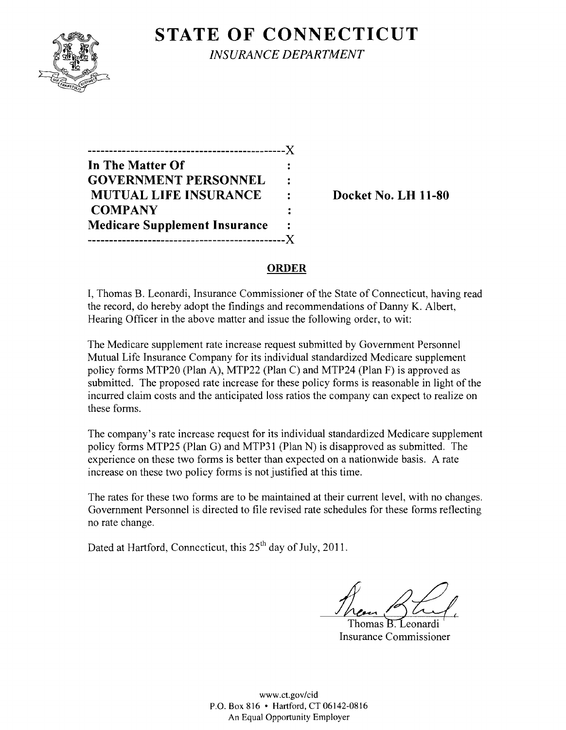

**STATE OF CONNECTICUT** 

*INSURANCE DEPARTMENT* 

| In The Matter Of                     |   |
|--------------------------------------|---|
| <b>GOVERNMENT PERSONNEL</b>          | ٠ |
| <b>MUTUAL LIFE INSURANCE</b>         |   |
| <b>COMPANY</b>                       |   |
| <b>Medicare Supplement Insurance</b> |   |
| -------------------                  |   |

**Docket No. LH 11-80** 

#### **ORDER**

I, Thomas B. Leonardi, Insurance Commissioner of the State of Connecticut, having read the record, do hereby adopt the findings and recommendations of Danny K. Albert, Hearing Officer in the above matter and issue the following order, to wit:

The Medicare supplement rate increase request submitted by Government Personnel Mutual Life Insurance Company for its individual standardized Medicare supplement policy forms MTP20 (Plan A), MTP22 (Plan C) and MTP24 (Plan F) is approved as submitted. The proposed rate increase for these policy forms is reasonable in light of the incurred claim costs and the anticipated loss ratios the company can expect to realize on these forms.

The company's rate increase request for its individual standardized Medicare supplement policy forms MTP25 (Plan G) and MTP31 (Plan N) is disapproved as submitted. The experience on these two forms is better than expected on a nationwide basis. A rate increase on these two policy forms is not justified at this time.

The rates for these two forms are to be maintained at their current level, with no changes. Government Personnel is directed to file revised rate schedules for these forms reflecting no rate change.

Dated at Hartford, Connecticut, this 25<sup>th</sup> day of July, 2011.

Thomas B. Leonardi Insurance Commissioner

www.ct.gov/cid P.O. Box 816 • Hartford, CT 06142-0816 An Equal Opportunity Employer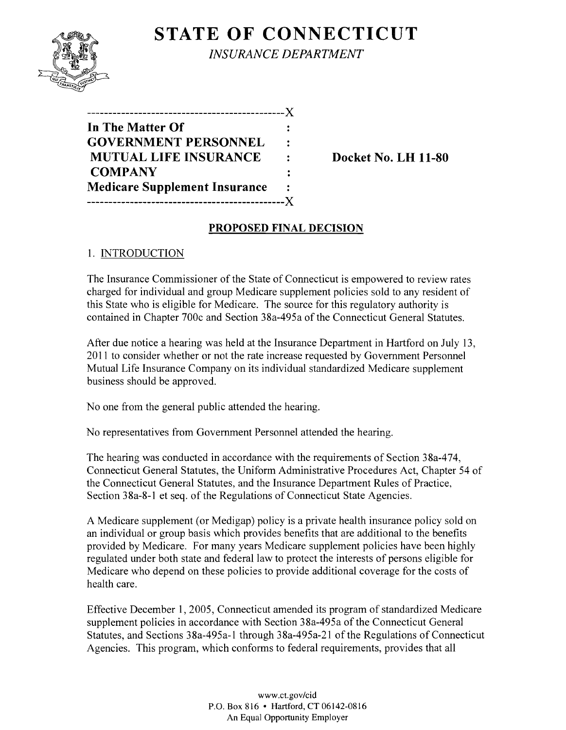# **STATE OF CONNECTICUT**



*INSURANCE DEPARTMENT* 

| In The Matter Of                     |                |
|--------------------------------------|----------------|
| <b>GOVERNMENT PERSONNEL</b>          |                |
| <b>MUTUAL LIFE INSURANCE</b>         | $\ddot{\cdot}$ |
| <b>COMPANY</b>                       |                |
| <b>Medicare Supplement Insurance</b> |                |
|                                      |                |

**Docket No. LH 11-80** 

## **PROPOSED FINAL DECISION**

## 1. INTRODUCTION

The Insurance Commissioner of the State of Connecticut is empowered to review rates charged for individual and group Medicare supplement policies sold to any resident of this State who is eligible for Medicare. The source for this regulatory authority is contained in Chapter 700c and Section 38a-495a of the Connecticut General Statutes.

After due notice a hearing was held at the Insurance Department in Hartford on July 13, 2011 to consider whether or not the rate increase requested by Government Personnel Mutual Life Insurance Company on its individual standardized Medicare supplement business should be approved.

No one from the general public attended the hearing.

No representatives from Government Personnel attended the hearing.

The hearing was conducted in accordance with the requirements of Section 38a-474, Connecticut General Statutes, the Uniform Administrative Procedures Act, Chapter 54 of the Connecticut General Statutes, and the Insurance Department Rules of Practice, Section 38a-8-1 et seq. of the Regulations of Connecticut State Agencies.

A Medicare supplement (or Medigap) policy is a private health insurance policy sold on an individual or group basis which provides benefits that are additional to the benefits provided by Medicare. For many years Medicare supplement policies have been highly regulated under both state and federal law to protect the interests of persons eligible for Medicare who depend on these policies to provide additional coverage for the costs of health care.

Effective December 1, 2005, Connecticut amended its program of standardized Medicare supplement policies in accordance with Section 38a-495a of the Connecticut General Statutes, and Sections 38a-495a-l through 38a-495a-21 of the Regulations of Connecticut Agencies. This program, which conforms to federal requirements, provides that all

> www.ct.gov/cid P.O. Box 816 • Hartford, CT 06142-0816 An Equal Opportunity Employer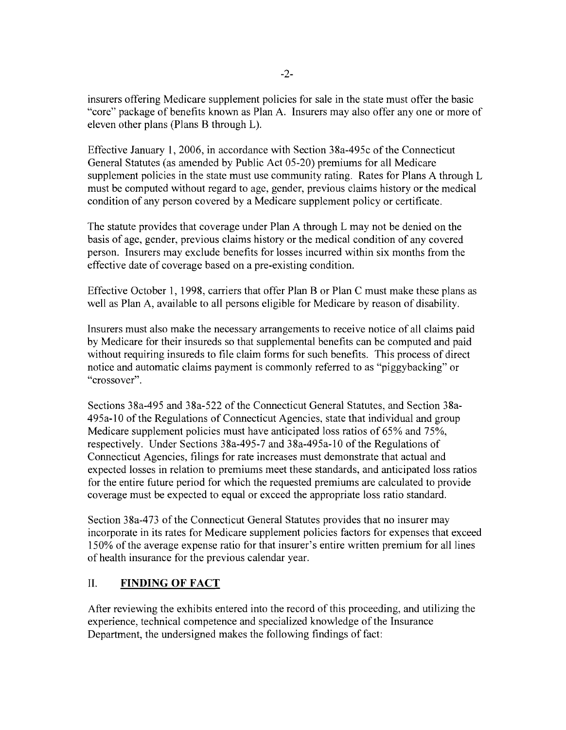insurers offering Medicare supplement policies for sale in the state must offer the basic "core" package of benefits known as Plan A. Insurers may also offer anyone or more of eleven other plans (Plans B through L).

Effective January I, 2006, in accordance with Section 38a-495c ofthe Connecticut General Statutes (as amended by Public Act 05-20) premiums for all Medicare supplement policies in the state must use community rating. Rates for Plans A through L must be computed without regard to age, gender, previous claims history or the medical condition of any person covered by a Medicare supplement policy or certificate.

The statute provides that coverage under Plan A through L may not be denied on the basis of age, gender, previous claims history or the medical condition of any covered person. Insurers may exclude benefits for losses incurred within six months from the effective date of coverage based on a pre-existing condition.

Effective October 1, 1998, carriers that offer Plan B or Plan C must make these plans as well as Plan A, available to all persons eligible for Medicare by reason of disability.

Insurers must also make the necessary arrangements to receive notice of all claims paid by Medicare for their insureds so that supplemental benefits can be computed and paid without requiring insureds to file claim forms for such benefits. This process of direct notice and automatic claims payment is commonly referred to as "piggybacking" or "crossover".

Sections 38a-495 and 38a-522 of the Connecticut General Statutes, and Section 38a-495a-l0 ofthe Regulations of Connecticut Agencies, state that individual and group Medicare supplement policies must have anticipated loss ratios of 65% and 75%, respectively. Under Sections 38a-495-7 and 38a-495a-lO of the Regulations of Connecticut Agencies, filings for rate increases must demonstrate that actual and expected losses in relation to premiums meet these standards, and anticipated loss ratios for the entire future period for which the requested premiums are calculated to provide coverage must be expected to equal or exceed the appropriate loss ratio standard.

Section 38a-473 of the Connecticut General Statutes provides that no insurer may incorporate in its rates for Medicare supplement policies factors for expenses that exceed 150% of the average expense ratio for that insurer's entire written premium for all lines of health insurance for the previous calendar year.

## II. **FINDING OF FACT**

After reviewing the exhibits entered into the record of this proceeding, and utilizing the experience, technical competence and specialized knowledge ofthe Insurance Department, the undersigned makes the following findings of fact: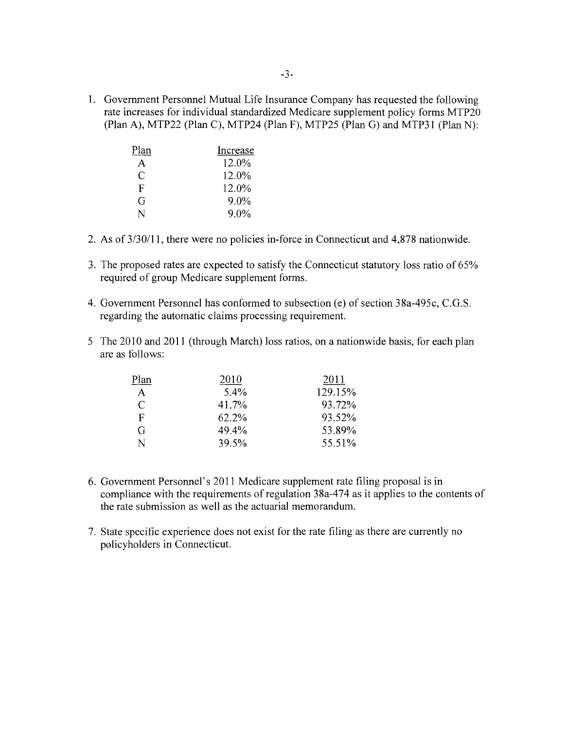1. Government Personnel Mutual Life Insurance Company has requested the following rate increases for individual standardized Medicare supplement policy forms MTP20 (Plan A), MTP22 (Plan C), MTP24 (Plan F), MTP25 (Plan G) and MTP31 (Plan N):

| Plan | Increase |
|------|----------|
| A    | 12.0%    |
| C    | 12.0%    |
| F    | 12.0%    |
| G    | 9.0%     |
| N    | 9.0%     |

- 2. As of  $3/30/11$ , there were no policies in-force in Connecticut and 4,878 nationwide.
- 3. The proposed rates are expected to satisfy the Connecticut statutory loss ratio of 65% required of group Medicare supplement forms.
- 4. Government Personnel has conformed to subsection (e) of section 38a-495c, C.G.S. regarding the automatic claims processing requirement.
- 5 The 2010 and 2011 (through March) loss ratios, on a nationwide basis, for each plan are as follows:

| Plan          | 2010  | 2011    |
|---------------|-------|---------|
| $\mathbf{A}$  | 5.4%  | 129.15% |
| $\mathcal{C}$ | 41.7% | 93.72%  |
| $\mathbf F$   | 62.2% | 93.52%  |
| G             | 49.4% | 53.89%  |
| N             | 39.5% | 55.51%  |

- 6. Government Personnel's 2011 Medicare supplement rate filing proposal is in compliance with the requirements of regulation 38a-474 as it applies to the contents of the rate submission as well as the actuarial memorandum.
- 7. State specific experience does not exist for the rate filing as there are currently no policyholders in Connecticut.